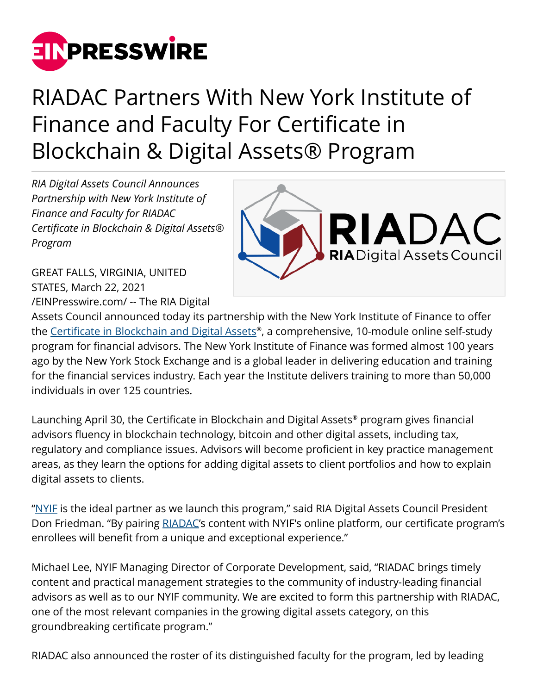

## RIADAC Partners With New York Institute of Finance and Faculty For Certificate in Blockchain & Digital Assets® Program

*RIA Digital Assets Council Announces Partnership with New York Institute of Finance and Faculty for RIADAC Certificate in Blockchain & Digital Assets® Program*

GREAT FALLS, VIRGINIA, UNITED STATES, March 22, 2021 [/EINPresswire.com/](http://www.einpresswire.com) -- The RIA Digital



Assets Council announced today its partnership with the New York Institute of Finance to offer the <u>Certificate in Blockchain and Digital Assets</u>®, a comprehensive, 10-module online self-study program for financial advisors. The New York Institute of Finance was formed almost 100 years ago by the New York Stock Exchange and is a global leader in delivering education and training for the financial services industry. Each year the Institute delivers training to more than 50,000 individuals in over 125 countries.

Launching April 30, the Certificate in Blockchain and Digital Assets® program gives financial advisors fluency in blockchain technology, bitcoin and other digital assets, including tax, regulatory and compliance issues. Advisors will become proficient in key practice management areas, as they learn the options for adding digital assets to client portfolios and how to explain digital assets to clients.

["NYIF](https://www.nyif.com/) is the ideal partner as we launch this program," said RIA Digital Assets Council President Don Friedman. "By pairing [RIADAC'](https://riadac.com)s content with NYIF's online platform, our certificate program's enrollees will benefit from a unique and exceptional experience."

Michael Lee, NYIF Managing Director of Corporate Development, said, "RIADAC brings timely content and practical management strategies to the community of industry-leading financial advisors as well as to our NYIF community. We are excited to form this partnership with RIADAC, one of the most relevant companies in the growing digital assets category, on this groundbreaking certificate program."

RIADAC also announced the roster of its distinguished faculty for the program, led by leading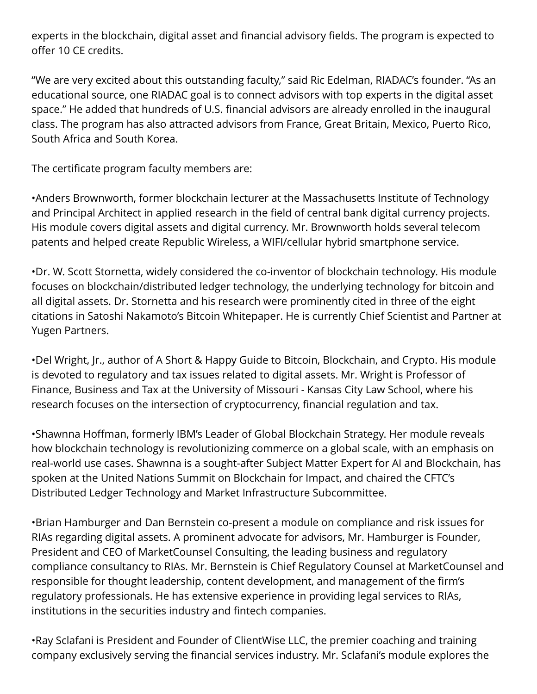experts in the blockchain, digital asset and financial advisory fields. The program is expected to offer 10 CE credits.

"We are very excited about this outstanding faculty," said Ric Edelman, RIADAC's founder. "As an educational source, one RIADAC goal is to connect advisors with top experts in the digital asset space." He added that hundreds of U.S. financial advisors are already enrolled in the inaugural class. The program has also attracted advisors from France, Great Britain, Mexico, Puerto Rico, South Africa and South Korea.

The certificate program faculty members are:

•Anders Brownworth, former blockchain lecturer at the Massachusetts Institute of Technology and Principal Architect in applied research in the field of central bank digital currency projects. His module covers digital assets and digital currency. Mr. Brownworth holds several telecom patents and helped create Republic Wireless, a WIFI/cellular hybrid smartphone service.

•Dr. W. Scott Stornetta, widely considered the co-inventor of blockchain technology. His module focuses on blockchain/distributed ledger technology, the underlying technology for bitcoin and all digital assets. Dr. Stornetta and his research were prominently cited in three of the eight citations in Satoshi Nakamoto's Bitcoin Whitepaper. He is currently Chief Scientist and Partner at Yugen Partners.

•Del Wright, Jr., author of A Short & Happy Guide to Bitcoin, Blockchain, and Crypto. His module is devoted to regulatory and tax issues related to digital assets. Mr. Wright is Professor of Finance, Business and Tax at the University of Missouri - Kansas City Law School, where his research focuses on the intersection of cryptocurrency, financial regulation and tax.

•Shawnna Hoffman, formerly IBM's Leader of Global Blockchain Strategy. Her module reveals how blockchain technology is revolutionizing commerce on a global scale, with an emphasis on real-world use cases. Shawnna is a sought-after Subject Matter Expert for AI and Blockchain, has spoken at the United Nations Summit on Blockchain for Impact, and chaired the CFTC's Distributed Ledger Technology and Market Infrastructure Subcommittee.

•Brian Hamburger and Dan Bernstein co-present a module on compliance and risk issues for RIAs regarding digital assets. A prominent advocate for advisors, Mr. Hamburger is Founder, President and CEO of MarketCounsel Consulting, the leading business and regulatory compliance consultancy to RIAs. Mr. Bernstein is Chief Regulatory Counsel at MarketCounsel and responsible for thought leadership, content development, and management of the firm's regulatory professionals. He has extensive experience in providing legal services to RIAs, institutions in the securities industry and fintech companies.

•Ray Sclafani is President and Founder of ClientWise LLC, the premier coaching and training company exclusively serving the financial services industry. Mr. Sclafani's module explores the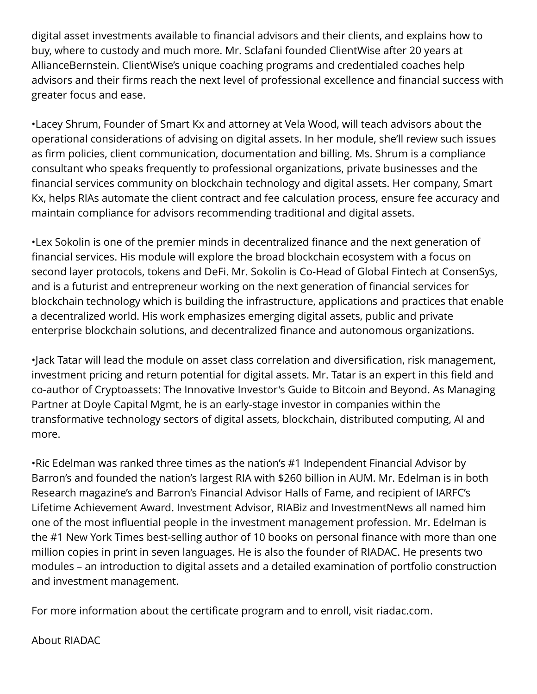digital asset investments available to financial advisors and their clients, and explains how to buy, where to custody and much more. Mr. Sclafani founded ClientWise after 20 years at AllianceBernstein. ClientWise's unique coaching programs and credentialed coaches help advisors and their firms reach the next level of professional excellence and financial success with greater focus and ease.

•Lacey Shrum, Founder of Smart Kx and attorney at Vela Wood, will teach advisors about the operational considerations of advising on digital assets. In her module, she'll review such issues as firm policies, client communication, documentation and billing. Ms. Shrum is a compliance consultant who speaks frequently to professional organizations, private businesses and the financial services community on blockchain technology and digital assets. Her company, Smart Kx, helps RIAs automate the client contract and fee calculation process, ensure fee accuracy and maintain compliance for advisors recommending traditional and digital assets.

•Lex Sokolin is one of the premier minds in decentralized finance and the next generation of financial services. His module will explore the broad blockchain ecosystem with a focus on second layer protocols, tokens and DeFi. Mr. Sokolin is Co-Head of Global Fintech at ConsenSys, and is a futurist and entrepreneur working on the next generation of financial services for blockchain technology which is building the infrastructure, applications and practices that enable a decentralized world. His work emphasizes emerging digital assets, public and private enterprise blockchain solutions, and decentralized finance and autonomous organizations.

•Jack Tatar will lead the module on asset class correlation and diversification, risk management, investment pricing and return potential for digital assets. Mr. Tatar is an expert in this field and co-author of Cryptoassets: The Innovative Investor's Guide to Bitcoin and Beyond. As Managing Partner at Doyle Capital Mgmt, he is an early-stage investor in companies within the transformative technology sectors of digital assets, blockchain, distributed computing, AI and more.

•Ric Edelman was ranked three times as the nation's #1 Independent Financial Advisor by Barron's and founded the nation's largest RIA with \$260 billion in AUM. Mr. Edelman is in both Research magazine's and Barron's Financial Advisor Halls of Fame, and recipient of IARFC's Lifetime Achievement Award. Investment Advisor, RIABiz and InvestmentNews all named him one of the most influential people in the investment management profession. Mr. Edelman is the #1 New York Times best-selling author of 10 books on personal finance with more than one million copies in print in seven languages. He is also the founder of RIADAC. He presents two modules – an introduction to digital assets and a detailed examination of portfolio construction and investment management.

For more information about the certificate program and to enroll, visit riadac.com.

About RIADAC